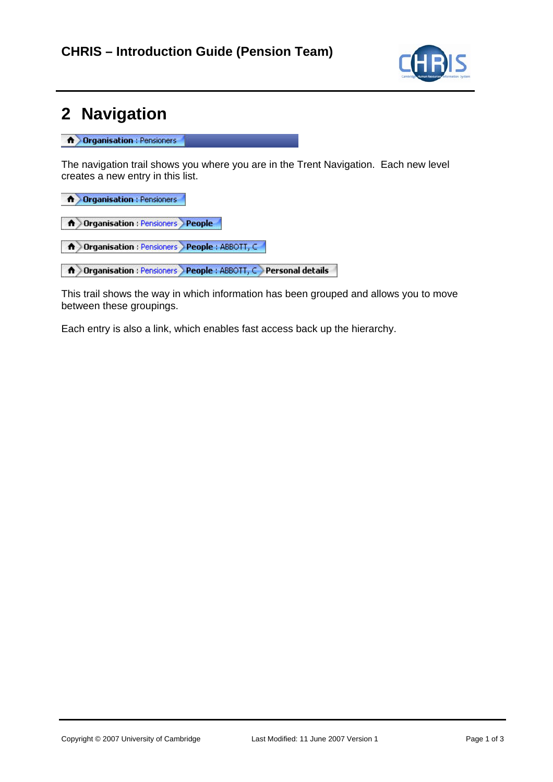

## **2 Navigation**

**A Organisation** : Pensioners

The navigation trail shows you where you are in the Trent Navigation. Each new level creates a new entry in this list.

**A** Organisation : Pensioners

A Organisation : Pensioners People

A Organisation : Pensioners People : ABBOTT, C

A Organisation : Pensioners People : ABBOTT, C Personal details

This trail shows the way in which information has been grouped and allows you to move between these groupings.

Each entry is also a link, which enables fast access back up the hierarchy.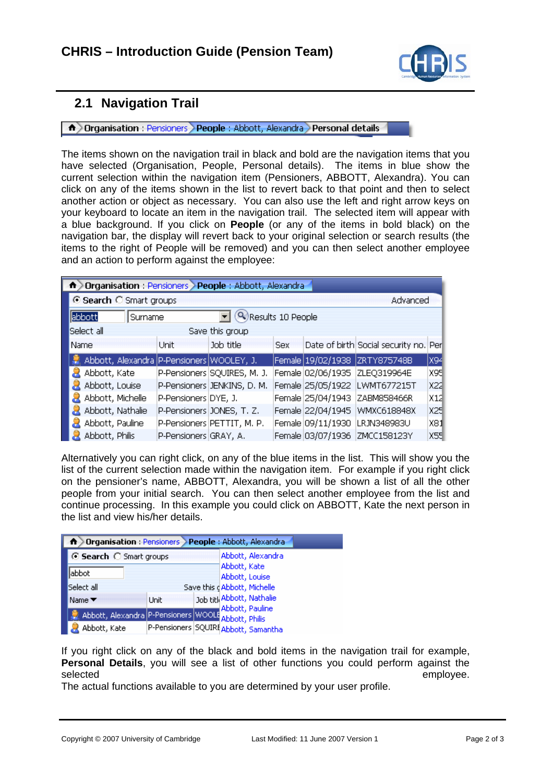

## **2.1 Navigation Trail**

**A** Organisation : Pensioners People : Abbott, Alexandra Personal details

The items shown on the navigation trail in black and bold are the navigation items that you have selected (Organisation, People, Personal details). The items in blue show the current selection within the navigation item (Pensioners, ABBOTT, Alexandra). You can click on any of the items shown in the list to revert back to that point and then to select another action or object as necessary. You can also use the left and right arrow keys on your keyboard to locate an item in the navigation trail. The selected item will appear with a blue background. If you click on **People** (or any of the items in bold black) on the navigation bar, the display will revert back to your original selection or search results (the items to the right of People will be removed) and you can then select another employee and an action to perform against the employee:

| n > Organisation : Pensioners > People : Abbott, Alexandra |                       |                             |            |                   |                                       |     |  |  |
|------------------------------------------------------------|-----------------------|-----------------------------|------------|-------------------|---------------------------------------|-----|--|--|
| ⊙ Search C Smart groups<br>Advanced                        |                       |                             |            |                   |                                       |     |  |  |
| abbott<br>Surname                                          |                       | Results 10 People           |            |                   |                                       |     |  |  |
| Select all                                                 |                       | Save this group             |            |                   |                                       |     |  |  |
| Name                                                       | Unit                  | Job title                   | <b>Sex</b> |                   | Date of birth Social security no. Per |     |  |  |
| Abbott, Alexandra P-Pensioners WOOLEY, J.                  |                       |                             |            |                   | Female   19/02/1938   ZRTY875748B     | x94 |  |  |
| Abbott, Kate                                               |                       | P-Pensioners SQUIRES, M. J. |            |                   | Female 02/06/1935 ZLEQ319964E         | X95 |  |  |
| Abbott, Louise                                             |                       | P-Pensioners JENKINS, D. M. |            |                   | Female 25/05/1922 LWMT677215T         | x22 |  |  |
| Abbott, Michelle                                           | P-Pensioners DYE, J.  |                             |            |                   | Female 25/04/1943 ZABM858466R         | X12 |  |  |
| Abbott, Nathalie                                           |                       | P-Pensioners JONES, T. Z.   |            |                   | Female 22/04/1945 WMXC618848X         | X25 |  |  |
| Abbott, Pauline                                            |                       | P-Pensioners PETTIT, M. P.  |            |                   | Female 09/11/1930   LRJN348983U       | X81 |  |  |
| Abbott, Philis                                             | P-Pensioners GRAY, A. |                             |            | Female 03/07/1936 | ZMCC158123Y                           | X55 |  |  |

Alternatively you can right click, on any of the blue items in the list. This will show you the list of the current selection made within the navigation item. For example if you right click on the pensioner's name, ABBOTT, Alexandra, you will be shown a list of all the other people from your initial search. You can then select another employee from the list and continue processing. In this example you could click on ABBOTT, Kate the next person in the list and view his/her details.

| <b>A</b> > Organisation : Pensioners > People : Abbott, Alexandra |      |                                      |
|-------------------------------------------------------------------|------|--------------------------------------|
| ⊙ Search ○ Smart groups                                           |      | Abbott, Alexandra                    |
| labbot                                                            |      | Abbott, Kate<br>Abbott, Louise       |
| Select all                                                        |      | Save this dAbbott, Michelle          |
| Name ▼                                                            | Unit | Job titl Abbott, Nathalie            |
| Abbott, Alexandra P-Pensioners WOOLE Abbott, Philis               |      | Abbott, Pauline                      |
| Abbott, Kate                                                      |      | P-Pensioners SQUIRf Abbott, Samantha |

If you right click on any of the black and bold items in the navigation trail for example, **Personal Details**, you will see a list of other functions you could perform against the selected employee. The selected employee is a selected employee.

The actual functions available to you are determined by your user profile.